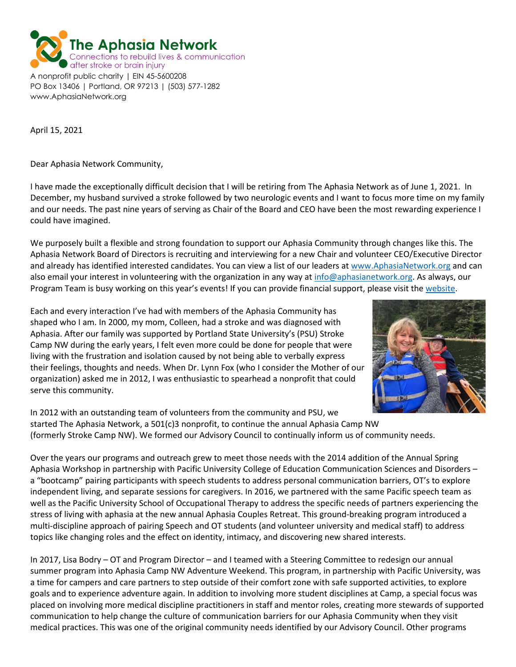

April 15, 2021

www.AphasiaNetwork.org

Dear Aphasia Network Community,

I have made the exceptionally difficult decision that I will be retiring from The Aphasia Network as of June 1, 2021. In December, my husband survived a stroke followed by two neurologic events and I want to focus more time on my family and our needs. The past nine years of serving as Chair of the Board and CEO have been the most rewarding experience I could have imagined.

We purposely built a flexible and strong foundation to support our Aphasia Community through changes like this. The Aphasia Network Board of Directors is recruiting and interviewing for a new Chair and volunteer CEO/Executive Director and already has identified interested candidates. You can view a list of our leaders at [www.AphasiaNetwork.org](http://www.aphasianetwork.org/) and can also email your interest in volunteering with the organization in any way at [info@aphasianetwork.org.](mailto:info@aphasianetwork.org) As always, our Program Team is busy working on this year's events! If you can provide financial support, please visit the [website.](https://www.aphasianetwork.org/donations)

Each and every interaction I've had with members of the Aphasia Community has shaped who I am. In 2000, my mom, Colleen, had a stroke and was diagnosed with Aphasia. After our family was supported by Portland State University's (PSU) Stroke Camp NW during the early years, I felt even more could be done for people that were living with the frustration and isolation caused by not being able to verbally express their feelings, thoughts and needs. When Dr. Lynn Fox (who I consider the Mother of our organization) asked me in 2012, I was enthusiastic to spearhead a nonprofit that could serve this community.



In 2012 with an outstanding team of volunteers from the community and PSU, we started The Aphasia Network, a 501(c)3 nonprofit, to continue the annual Aphasia Camp NW (formerly Stroke Camp NW). We formed our Advisory Council to continually inform us of community needs.

Over the years our programs and outreach grew to meet those needs with the 2014 addition of the Annual Spring Aphasia Workshop in partnership with Pacific University College of Education Communication Sciences and Disorders – a "bootcamp" pairing participants with speech students to address personal communication barriers, OT's to explore independent living, and separate sessions for caregivers. In 2016, we partnered with the same Pacific speech team as well as the Pacific University School of Occupational Therapy to address the specific needs of partners experiencing the stress of living with aphasia at the new annual Aphasia Couples Retreat. This ground-breaking program introduced a multi-discipline approach of pairing Speech and OT students (and volunteer university and medical staff) to address topics like changing roles and the effect on identity, intimacy, and discovering new shared interests.

In 2017, Lisa Bodry – OT and Program Director – and I teamed with a Steering Committee to redesign our annual summer program into Aphasia Camp NW Adventure Weekend. This program, in partnership with Pacific University, was a time for campers and care partners to step outside of their comfort zone with safe supported activities, to explore goals and to experience adventure again. In addition to involving more student disciplines at Camp, a special focus was placed on involving more medical discipline practitioners in staff and mentor roles, creating more stewards of supported communication to help change the culture of communication barriers for our Aphasia Community when they visit medical practices. This was one of the original community needs identified by our Advisory Council. Other programs